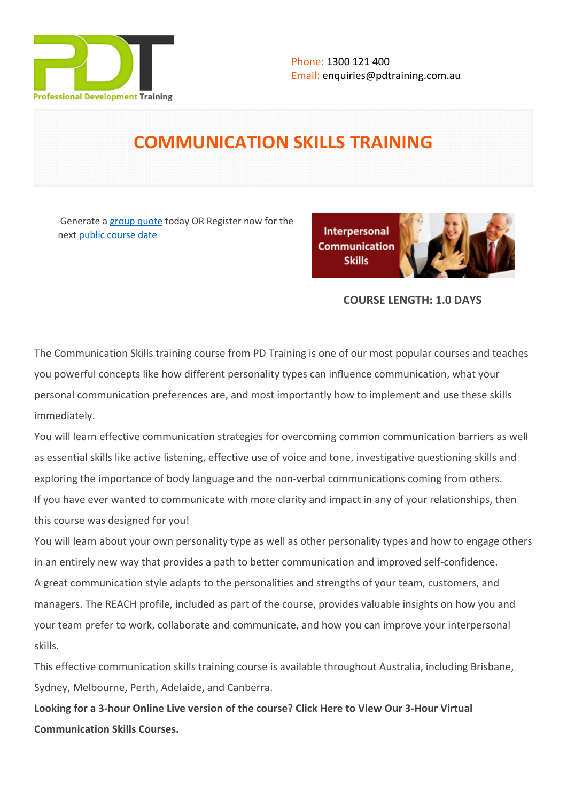

# **COMMUNICATION SKILLS TRAINING**

Generate a [group quote](https://pdtraining.com.au/inhouse-training-quote?cse=PDT0008) today OR Register now for the next [public course date](https://pdtraining.com.au/booking?schedulecode=EKkWrIDe7ygm0tcWmKH9rTa1vmuJzf2t9C2rR0vDpMjX2eq43DFUyEdVKtBen4P1FXnxAUewpdTOKm9r6zP5Kh6ExhRxxqqv7rre01EixiEtVxlyukhXoTqy0S9tdQ88XyRs44Ae4HGCNNTa5ueojC&countryCode=AU¤cyCode=AU)

Interpersonal **Communication Skills** 

#### **COURSE LENGTH: 1.0 DAYS**

The Communication Skills training course from PD Training is one of our most popular courses and teaches you powerful concepts like how different personality types can influence communication, what your personal communication preferences are, and most importantly how to implement and use these skills immediately.

You will learn effective communication strategies for overcoming common communication barriers as well as essential skills like active listening, effective use of voice and tone, investigative questioning skills and exploring the importance of body language and the non-verbal communications coming from others. If you have ever wanted to communicate with more clarity and impact in any of your relationships, then this course was designed for you!

You will learn about your own personality type as well as other personality types and how to engage others in an entirely new way that provides a path to better communication and improved self-confidence. A great communication style adapts to the personalities and strengths of your team, customers, and managers. The REACH profile, included as part of the course, provides valuable insights on how you and your team prefer to work, collaborate and communicate, and how you can improve your interpersonal skills.

This effective communication skills training course is available throughout Australia, including Brisbane, Sydney, Melbourne, Perth, Adelaide, and Canberra.

**Looking for a 3-hour Online Live version of the course? [Click Here to View Our 3-Hour Virtual](https://pdtraining.com.au/remote-live-training-classes/communication-skills-workplace-training-courses-are-delivered-by-pdtrainings-communication-skills-training-specialists-in-online-Instructor-led-3hours)  [Communication Skills Courses.](https://pdtraining.com.au/remote-live-training-classes/communication-skills-workplace-training-courses-are-delivered-by-pdtrainings-communication-skills-training-specialists-in-online-Instructor-led-3hours)**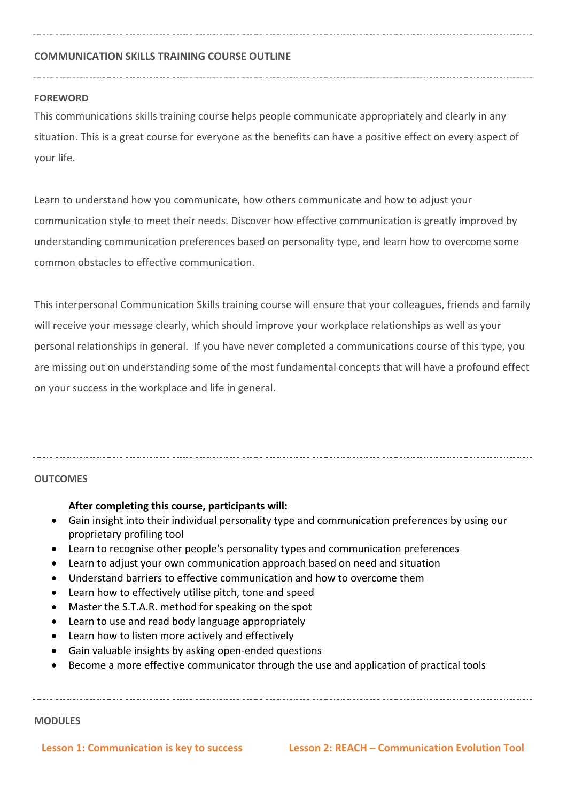#### **COMMUNICATION SKILLS TRAINING COURSE OUTLINE**

#### **FOREWORD**

This communications skills training course helps people communicate appropriately and clearly in any situation. This is a great course for everyone as the benefits can have a positive effect on every aspect of your life.

Learn to understand how you communicate, how others communicate and how to adjust your communication style to meet their needs. Discover how effective communication is greatly improved by understanding communication preferences based on personality type, and learn how to overcome some common obstacles to effective communication.

This interpersonal Communication Skills training course will ensure that your colleagues, friends and family will receive your message clearly, which should improve your workplace relationships as well as your personal relationships in general. If you have never completed a communications course of this type, you are missing out on understanding some of the most fundamental concepts that will have a profound effect on your success in the workplace and life in general.

#### **OUTCOMES**

#### **After completing this course, participants will:**

- Gain insight into their individual personality type and communication preferences by using our proprietary profiling tool
- Learn to recognise other people's personality types and communication preferences
- Learn to adjust your own communication approach based on need and situation
- Understand barriers to effective communication and how to overcome them
- Learn how to effectively utilise pitch, tone and speed
- Master the S.T.A.R. method for speaking on the spot
- Learn to use and read body language appropriately
- Learn how to listen more actively and effectively
- Gain valuable insights by asking open-ended questions
- Become a more effective communicator through the use and application of practical tools

#### **MODULES**